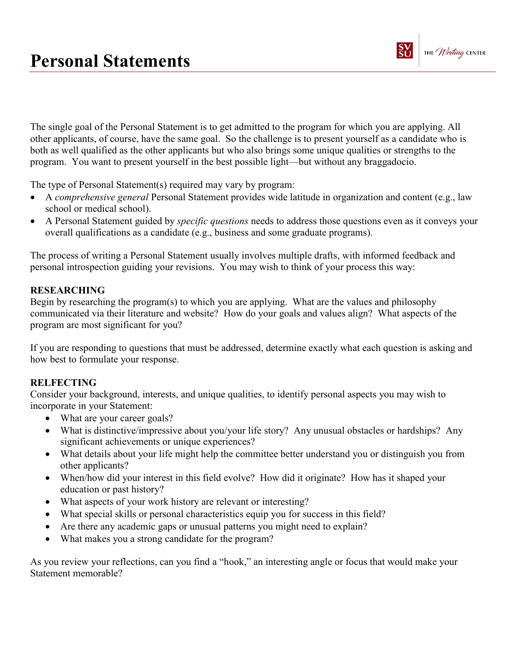

The single goal of the Personal Statement is to get admitted to the program for which you are applying. All other applicants, of course, have the same goal. So the challenge is to present yourself as a candidate who is both as well qualified as the other applicants but who also brings some unique qualities or strengths to the program. You want to present yourself in the best possible light—but without any braggadocio.

The type of Personal Statement(s) required may vary by program:

- A *comprehensive general* Personal Statement provides wide latitude in organization and content (e.g., law school or medical school).
- A Personal Statement guided by *specific questions* needs to address those questions even as it conveys your overall qualifications as a candidate (e.g., business and some graduate programs).

The process of writing a Personal Statement usually involves multiple drafts, with informed feedback and personal introspection guiding your revisions. You may wish to think of your process this way:

### RESEARCHING

Begin by researching the program(s) to which you are applying. What are the values and philosophy communicated via their literature and website? How do your goals and values align? What aspects of the program are most significant for you?

If you are responding to questions that must be addressed, determine exactly what each question is asking and how best to formulate your response.

### **RELFECTING**

Consider your background, interests, and unique qualities, to identify personal aspects you may wish to incorporate in your Statement:

- What are your career goals?
- What is distinctive/impressive about you/your life story? Any unusual obstacles or hardships? Any significant achievements or unique experiences?
- What details about your life might help the committee better understand you or distinguish you from other applicants?
- When/how did your interest in this field evolve? How did it originate? How has it shaped your education or past history?
- What aspects of your work history are relevant or interesting?
- What special skills or personal characteristics equip you for success in this field?
- Are there any academic gaps or unusual patterns you might need to explain?
- What makes you a strong candidate for the program?

As you review your reflections, can you find a "hook," an interesting angle or focus that would make your Statement memorable?